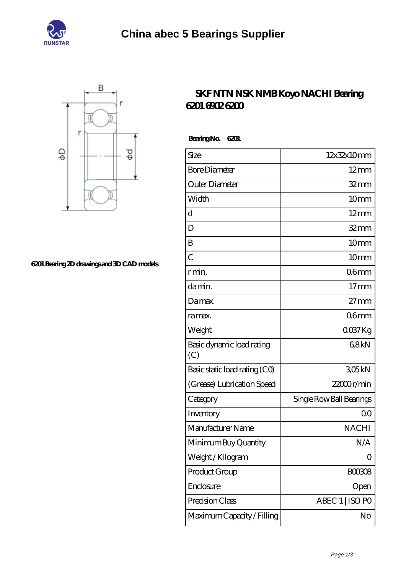



**[6201 Bearing 2D drawings and 3D CAD models](https://njvti.org/pic-65276323.html)**

## **[SKF NTN NSK NMB Koyo NACHI Bearing](https://njvti.org/nsk-6902-bearing/nachi-6201.html) [6201 6902 6200](https://njvti.org/nsk-6902-bearing/nachi-6201.html)**

 **Bearing No. 6201**

| Size                             | 12x32x10mm               |
|----------------------------------|--------------------------|
| <b>Bore Diameter</b>             | $12 \text{mm}$           |
| Outer Diameter                   | $32$ mm                  |
| Width                            | 10mm                     |
| d                                | $12 \text{mm}$           |
| D                                | $32 \text{mm}$           |
| B                                | 10 <sub>mm</sub>         |
| $\overline{C}$                   | 10 <sub>mm</sub>         |
| r min.                           | 06mm                     |
| da min.                          | 17 <sub>mm</sub>         |
| Damax.                           | $27 \text{mm}$           |
| ra max.                          | 06 <sub>mm</sub>         |
| Weight                           | $0037$ Kg                |
| Basic dynamic load rating<br>(C) | 68kN                     |
| Basic static load rating (CO)    | 305kN                    |
| (Grease) Lubrication Speed       | $22000$ r/min            |
| Category                         | Single Row Ball Bearings |
| Inventory                        | 0 <sup>0</sup>           |
| Manufacturer Name                | <b>NACHI</b>             |
| Minimum Buy Quantity             | N/A                      |
| Weight / Kilogram                | 0                        |
| Product Group                    | BOO3O8                   |
| Enclosure                        | Open                     |
| Precision Class                  | ABEC 1   ISO PO          |
| Maximum Capacity / Filling       | No                       |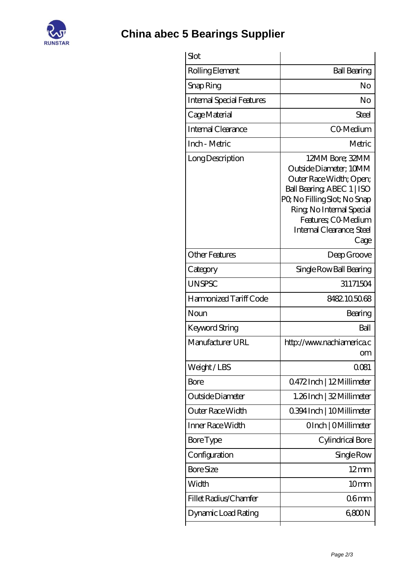

**[China abec 5 Bearings Supplier](https://njvti.org)**

| Slot                             |                                                                                                                                                                                                                            |
|----------------------------------|----------------------------------------------------------------------------------------------------------------------------------------------------------------------------------------------------------------------------|
| Rolling Element                  | <b>Ball Bearing</b>                                                                                                                                                                                                        |
| Snap Ring                        | No                                                                                                                                                                                                                         |
| <b>Internal Special Features</b> | No                                                                                                                                                                                                                         |
| Cage Material                    | Steel                                                                                                                                                                                                                      |
| Internal Clearance               | CO-Medium                                                                                                                                                                                                                  |
| Inch - Metric                    | Metric                                                                                                                                                                                                                     |
| Long Description                 | 12MM Bore; 32MM<br>Outside Diameter; 10MM<br>Outer Race Width; Open;<br>Ball Bearing, ABEC 1   ISO<br>PQ No Filling Slot; No Snap<br>Ring, No Internal Special<br>Features; CO Medium<br>Internal Clearance; Steel<br>Cage |
| <b>Other Features</b>            | Deep Groove                                                                                                                                                                                                                |
| Category                         | Single Row Ball Bearing                                                                                                                                                                                                    |
| <b>UNSPSC</b>                    | 31171504                                                                                                                                                                                                                   |
| Harmonized Tariff Code           | 8482105068                                                                                                                                                                                                                 |
| Noun                             | Bearing                                                                                                                                                                                                                    |
| <b>Keyword String</b>            | Ball                                                                                                                                                                                                                       |
| Manufacturer URL                 | http://www.nachiamerica.c<br>om                                                                                                                                                                                            |
| Weight/LBS                       | 0081                                                                                                                                                                                                                       |
| Bore                             | Q472Inch   12Millimeter                                                                                                                                                                                                    |
| Outside Diameter                 | 1.26Inch   32 Millimeter                                                                                                                                                                                                   |
| Outer Race Width                 | 0.394 Inch   10 Millimeter                                                                                                                                                                                                 |
| Inner Race Width                 | OInch   OMillimeter                                                                                                                                                                                                        |
| <b>Bore Type</b>                 | Cylindrical Bore                                                                                                                                                                                                           |
| Configuration                    | Single Row                                                                                                                                                                                                                 |
| <b>Bore Size</b>                 | $12 \text{mm}$                                                                                                                                                                                                             |
| Width                            | 10 <sub>mm</sub>                                                                                                                                                                                                           |
| Fillet Radius/Chamfer            | 06 <sub>mm</sub>                                                                                                                                                                                                           |
|                                  |                                                                                                                                                                                                                            |